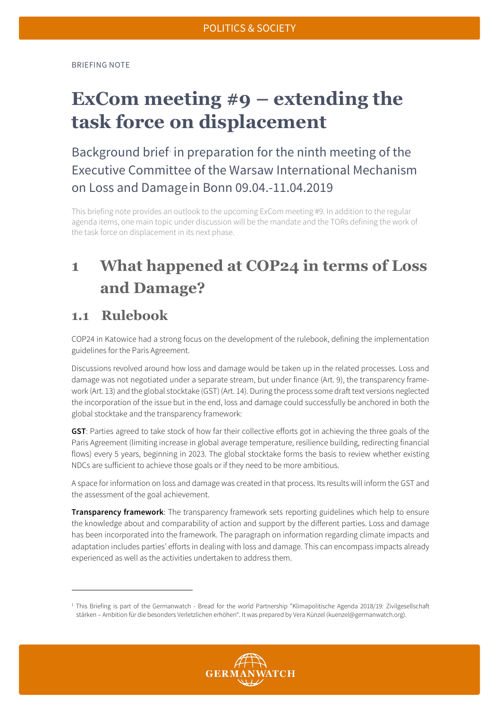BRIEFING NOTE

# **ExCom meeting #9 – extending the task force on displacement**

Background brief in preparation for the ninth meeting of the Executive Committee of the Warsaw International Mechanism on Loss and Damagein Bonn 09.04.-11.04.2019

This briefing note provides an outlook to the upcoming ExCom meeting #9. In addition to the regular agenda items, one main topic under discussion will be the mandate and the TORs defining the work of the task force on displacement in its next phase.

## **1 What happened at COP24 in terms of Loss and Damage?**

### **1.1 Rulebook**

**.** 

COP24 in Katowice had a strong focus on the development of the rulebook, defining the implementation guidelines for the Paris Agreement.

Discussions revolved around how loss and damage would be taken up in the related processes. Loss and damage was not negotiated under a separate stream, but under finance (Art. 9), the transparency framework (Art. 13) and the global stocktake (GST) (Art. 14). During the process some draft text versions neglected the incorporation of the issue but in the end, loss and damage could successfully be anchored in both the global stocktake and the transparency framework:

**GST**: Parties agreed to take stock of how far their collective efforts got in achieving the three goals of the Paris Agreement (limiting increase in global average temperature, resilience building, redirecting financial flows) every 5 years, beginning in 2023. The global stocktake forms the basis to review whether existing NDCs are sufficient to achieve those goals or if they need to be more ambitious.

A space for information on loss and damage was created in that process. Its results will inform the GST and the assessment of the goal achievement.

**Transparency framework**: The transparency framework sets reporting guidelines which help to ensure the knowledge about and comparability of action and support by the different parties. Loss and damage has been incorporated into the framework. The paragraph on information regarding climate impacts and adaptation includes parties' efforts in dealing with loss and damage. This can encompass impacts already experienced as well as the activities undertaken to address them.

<span id="page-0-0"></span><sup>&</sup>lt;sup>1</sup> This Briefing is part of the Germanwatch - Bread for the world Partnership "Klimapolitische Agenda 2018/19: Zivilgesellschaft stärken – Ambition für die besonders Verletzlichen erhöhen". It was prepared by Vera Künzel (kuenzel@germanwatch.org).

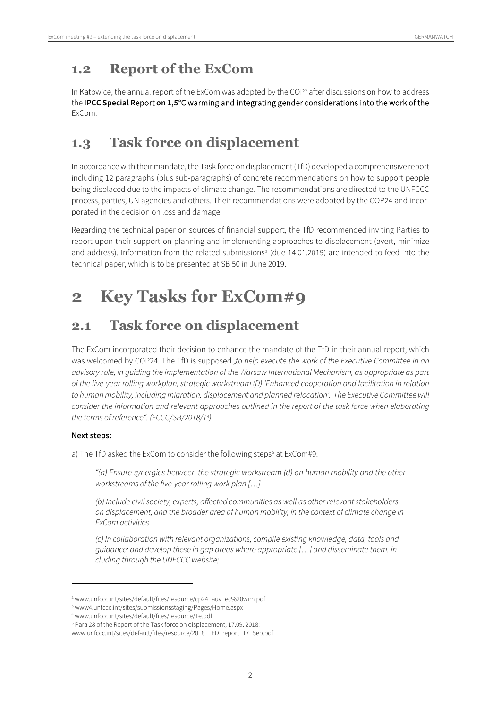### **1.2 Report of the ExCom**

In Katowice, the annual report of the ExCom was adopted by the COP<sup>[2](#page-1-0)</sup> after discussions on how to address the **IPCC Special R**eport **on 1,5°**C warming and integrating gender considerations into the work of the ExCom.

## **1.3 Task force on displacement**

In accordance with their mandate, the Task force on displacement (TfD) developed a comprehensive report including 12 paragraphs (plus sub-paragraphs) of concrete recommendations on how to support people being displaced due to the impacts of climate change. The recommendations are directed to the UNFCCC process, parties, UN agencies and others. Their recommendations were adopted by the COP24 and incorporated in the decision on loss and damage.

Regarding the technical paper on sources of financial support, the TfD recommended inviting Parties to report upon their support on planning and implementing approaches to displacement (avert, minimize and address). Information from the related submissions<sup>[3](#page-1-1)</sup> (due 14.01.2019) are intended to feed into the technical paper, which is to be presented at SB 50 in June 2019.

# **2 Key Tasks for ExCom#9**

## **2.1 Task force on displacement**

The ExCom incorporated their decision to enhance the mandate of the TfD in their annual report, which was welcomed by COP24. The TfD is supposed "to help execute the work of the Executive Committee in an *advisory role, in guiding the implementation of the Warsaw International Mechanism, as appropriate as part of the five-year rolling workplan, strategic workstream (D) 'Enhanced cooperation and facilitation in relation to human mobility, including migration, displacement and planned relocation'. The Executive Committee will consider the information and relevant approaches outlined in the report of the task force when elaborating the terms of reference". (FCCC/SB/2018/1[4](#page-1-2) )*

### **Next steps:**

<u>.</u>

a) The TfD asked the ExCom to consider the following steps<sup>[5](#page-1-3)</sup> at ExCom#9:

*"(a) Ensure synergies between the strategic workstream (d) on human mobility and the other workstreams of the five-year rolling work plan […]*

*(b) Include civil society, experts, affected communities as well as other relevant stakeholders on displacement, and the broader area of human mobility, in the context of climate change in ExCom activities*

*(c) In collaboration with relevant organizations, compile existing knowledge, data, tools and guidance; and develop these in gap areas where appropriate […] and disseminate them, including through the UNFCCC website;* 

<span id="page-1-0"></span><sup>2</sup> www.unfccc.int/sites/default/files/resource/cp24\_auv\_ec%20wim.pdf

<span id="page-1-1"></span><sup>3</sup> www4.unfccc.int/sites/submissionsstaging/Pages/Home.aspx

<span id="page-1-2"></span><sup>4</sup> www.unfccc.int/sites/default/files/resource/1e.pdf

<span id="page-1-3"></span><sup>5</sup> Para 28 of the Report of the Task force on displacement, 17.09. 2018:

www.unfccc.int/sites/default/files/resource/2018\_TFD\_report\_17\_Sep.pdf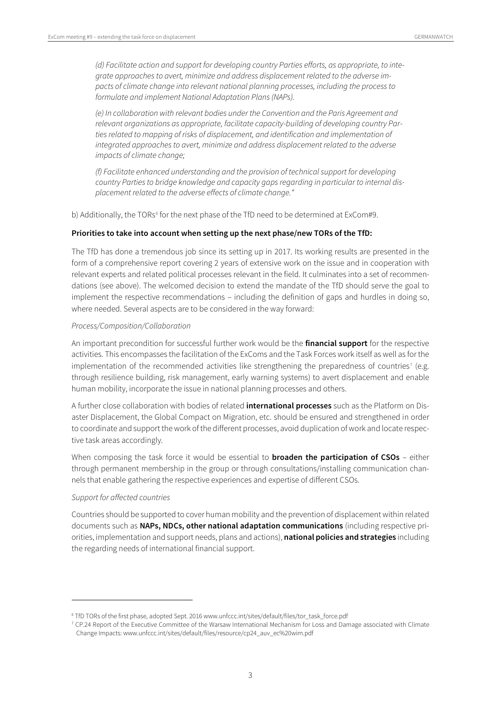*(d) Facilitate action and support for developing country Parties efforts, as appropriate, to integrate approaches to avert, minimize and address displacement related to the adverse impacts of climate change into relevant national planning processes, including the process to formulate and implement National Adaptation Plans (NAPs).* 

*(e) In collaboration with relevant bodies under the Convention and the Paris Agreement and relevant organizations as appropriate, facilitate capacity-building of developing country Parties related to mapping of risks of displacement, and identification and implementation of integrated approaches to avert, minimize and address displacement related to the adverse impacts of climate change;* 

*(f) Facilitate enhanced understanding and the provision of technical support for developing country Parties to bridge knowledge and capacity gaps regarding in particular to internal displacement related to the adverse effects of climate change."*

b) Additionally, the TORs<sup>[6](#page-2-0)</sup> for the next phase of the TfD need to be determined at ExCom#9.

#### **Priorities to take into account when setting up the next phase/new TORs of the TfD:**

The TfD has done a tremendous job since its setting up in 2017. Its working results are presented in the form of a comprehensive report covering 2 years of extensive work on the issue and in cooperation with relevant experts and related political processes relevant in the field. It culminates into a set of recommendations (see above). The welcomed decision to extend the mandate of the TfD should serve the goal to implement the respective recommendations – including the definition of gaps and hurdles in doing so, where needed. Several aspects are to be considered in the way forward:

#### *Process/Composition/Collaboration*

An important precondition for successful further work would be the **financial support** for the respective activities. This encompasses the facilitation of the ExComs and the Task Forces work itself as well as for the implementation of the recommended activities like strengthening the preparedness of countries<sup>[7](#page-2-1)</sup> (e.g. through resilience building, risk management, early warning systems) to avert displacement and enable human mobility, incorporate the issue in national planning processes and others.

A further close collaboration with bodies of related **international processes** such as the Platform on Disaster Displacement, the Global Compact on Migration, etc. should be ensured and strengthened in order to coordinate and support the work of the different processes, avoid duplication of work and locate respective task areas accordingly.

When composing the task force it would be essential to **broaden the participation of CSOs** – either through permanent membership in the group or through consultations/installing communication channels that enable gathering the respective experiences and expertise of different CSOs.

#### *Support for affected countries*

<u>.</u>

Countries should be supported to cover human mobility and the prevention of displacementwithin related documents such as **NAPs, NDCs, other national adaptation communications** (including respective priorities, implementation and support needs, plans and actions), **national policies and strategies** including the regarding needs of international financial support.

<span id="page-2-0"></span><sup>6</sup> TfD TORs of the first phase, adopted Sept. 2016 www.unfccc.int/sites/default/files/tor\_task\_force.pdf

<span id="page-2-1"></span> $7$  CP.24 Report of the Executive Committee of the Warsaw International Mechanism for Loss and Damage associated with Climate Change Impacts: www.unfccc.int/sites/default/files/resource/cp24\_auv\_ec%20wim.pdf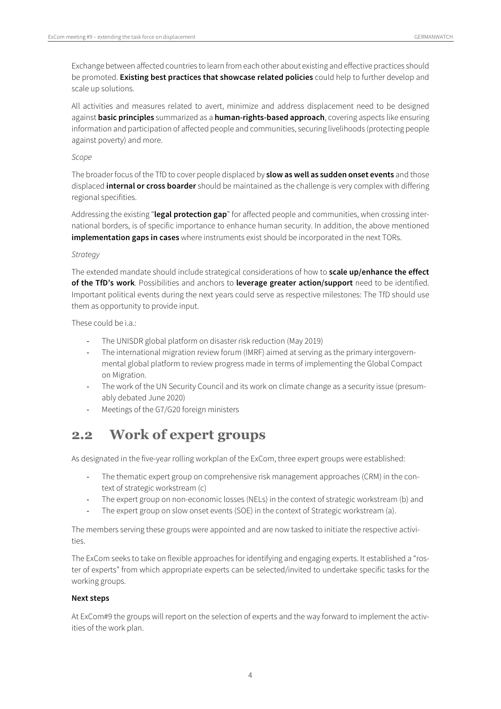Exchange between affected countries to learn from each other about existing and effective practices should be promoted. **Existing best practices that showcase related policies** could help to further develop and scale up solutions.

All activities and measures related to avert, minimize and address displacement need to be designed against **basic principles** summarized as a **human-rights-based approach**, covering aspects like ensuring information and participation of affected people and communities, securing livelihoods (protecting people against poverty) and more.

#### *Scope*

The broader focus of the TfD to cover people displaced by **slow as well as sudden onset events** and those displaced **internal or cross boarder** should be maintained as the challenge is very complex with differing regional specifities.

Addressing the existing "**legal protection gap**" for affected people and communities, when crossing international borders, is of specific importance to enhance human security. In addition, the above mentioned **implementation gaps in cases** where instruments exist should be incorporated in the next TORs.

#### *Strategy*

The extended mandate should include strategical considerations of how to **scale up/enhance the effect of the TfD's work**. Possibilities and anchors to **leverage greater action/support** need to be identified. Important political events during the next years could serve as respective milestones: The TfD should use them as opportunity to provide input.

These could be  $i.a$ .

- The UNISDR global platform on disaster risk reduction (May 2019)
- The international migration review forum (IMRF) aimed at serving as the primary intergovernmental global platform to review progress made in terms of implementing the Global Compact on Migration.
- The work of the UN Security Council and its work on climate change as a security issue (presumably debated June 2020)
- Meetings of the G7/G20 foreign ministers

### **2.2 Work of expert groups**

As designated in the five-year rolling workplan of the ExCom, three expert groups were established:

- The thematic expert group on comprehensive risk management approaches (CRM) in the context of strategic workstream (c)
- The expert group on non-economic losses (NELs) in the context of strategic workstream (b) and
- The expert group on slow onset events (SOE) in the context of Strategic workstream (a).

The members serving these groups were appointed and are now tasked to initiate the respective activities.

The ExCom seeks to take on flexible approaches for identifying and engaging experts. It established a "roster of experts" from which appropriate experts can be selected/invited to undertake specific tasks for the working groups.

#### **Next steps**

At ExCom#9 the groups will report on the selection of experts and the way forward to implement the activities of the work plan.